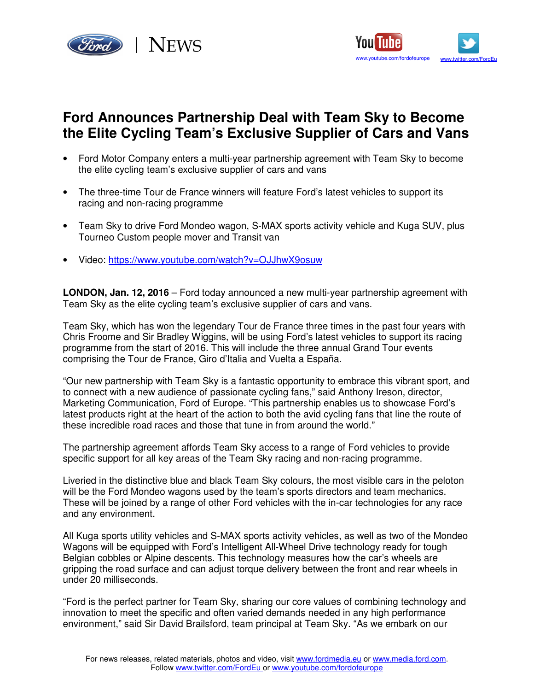



## **Ford Announces Partnership Deal with Team Sky to Become the Elite Cycling Team's Exclusive Supplier of Cars and Vans**

- Ford Motor Company enters a multi-year partnership agreement with Team Sky to become the elite cycling team's exclusive supplier of cars and vans
- The three-time Tour de France winners will feature Ford's latest vehicles to support its racing and non-racing programme
- Team Sky to drive Ford Mondeo wagon, S-MAX sports activity vehicle and Kuga SUV, plus Tourneo Custom people mover and Transit van
- Video: https://www.youtube.com/watch?v=OJJhwX9osuw

**LONDON, Jan. 12, 2016** – Ford today announced a new multi-year partnership agreement with Team Sky as the elite cycling team's exclusive supplier of cars and vans.

Team Sky, which has won the legendary Tour de France three times in the past four years with Chris Froome and Sir Bradley Wiggins, will be using Ford's latest vehicles to support its racing programme from the start of 2016. This will include the three annual Grand Tour events comprising the Tour de France, Giro d'Italia and Vuelta a España.

"Our new partnership with Team Sky is a fantastic opportunity to embrace this vibrant sport, and to connect with a new audience of passionate cycling fans," said Anthony Ireson, director, Marketing Communication, Ford of Europe. "This partnership enables us to showcase Ford's latest products right at the heart of the action to both the avid cycling fans that line the route of these incredible road races and those that tune in from around the world."

The partnership agreement affords Team Sky access to a range of Ford vehicles to provide specific support for all key areas of the Team Sky racing and non-racing programme.

Liveried in the distinctive blue and black Team Sky colours, the most visible cars in the peloton will be the Ford Mondeo wagons used by the team's sports directors and team mechanics. These will be joined by a range of other Ford vehicles with the in-car technologies for any race and any environment.

All Kuga sports utility vehicles and S-MAX sports activity vehicles, as well as two of the Mondeo Wagons will be equipped with Ford's Intelligent All-Wheel Drive technology ready for tough Belgian cobbles or Alpine descents. This technology measures how the car's wheels are gripping the road surface and can adjust torque delivery between the front and rear wheels in under 20 milliseconds.

"Ford is the perfect partner for Team Sky, sharing our core values of combining technology and innovation to meet the specific and often varied demands needed in any high performance environment," said Sir David Brailsford, team principal at Team Sky. "As we embark on our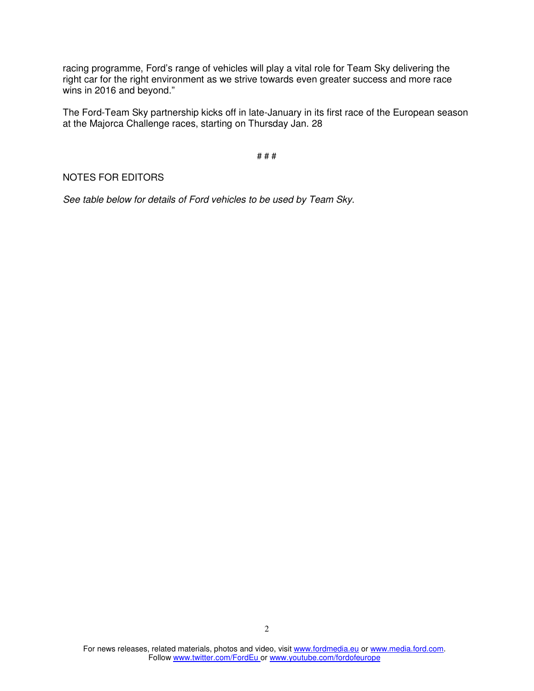racing programme, Ford's range of vehicles will play a vital role for Team Sky delivering the right car for the right environment as we strive towards even greater success and more race wins in 2016 and beyond."

The Ford-Team Sky partnership kicks off in late-January in its first race of the European season at the Majorca Challenge races, starting on Thursday Jan. 28

# # #

## NOTES FOR EDITORS

See table below for details of Ford vehicles to be used by Team Sky.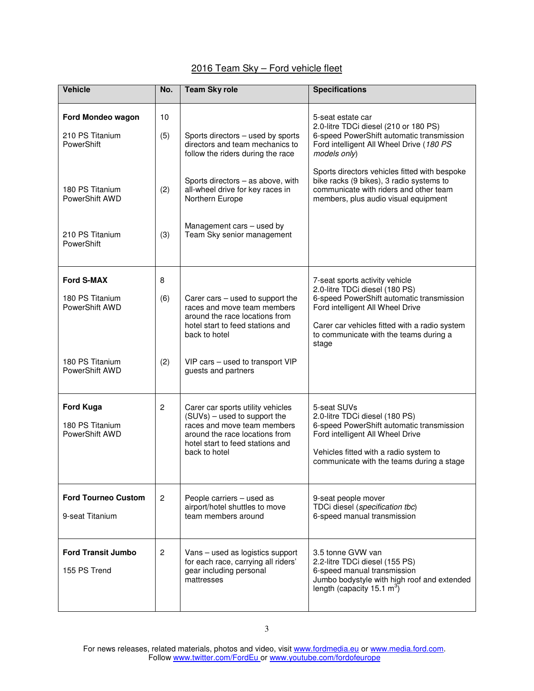## 2016 Team Sky – Ford vehicle fleet

| <b>Vehicle</b>                                                                          | No.              | <b>Team Sky role</b>                                                                                                                                                                                                               | <b>Specifications</b>                                                                                                                                                                                                                                                                                                                              |
|-----------------------------------------------------------------------------------------|------------------|------------------------------------------------------------------------------------------------------------------------------------------------------------------------------------------------------------------------------------|----------------------------------------------------------------------------------------------------------------------------------------------------------------------------------------------------------------------------------------------------------------------------------------------------------------------------------------------------|
| Ford Mondeo wagon<br>210 PS Titanium<br>PowerShift<br>180 PS Titanium<br>PowerShift AWD | 10<br>(5)<br>(2) | Sports directors - used by sports<br>directors and team mechanics to<br>follow the riders during the race<br>Sports directors - as above, with<br>all-wheel drive for key races in<br>Northern Europe<br>Management cars - used by | 5-seat estate car<br>2.0-litre TDCi diesel (210 or 180 PS)<br>6-speed PowerShift automatic transmission<br>Ford intelligent All Wheel Drive (180 PS<br>models only)<br>Sports directors vehicles fitted with bespoke<br>bike racks (9 bikes), 3 radio systems to<br>communicate with riders and other team<br>members, plus audio visual equipment |
| 210 PS Titanium<br>PowerShift                                                           | (3)              | Team Sky senior management                                                                                                                                                                                                         |                                                                                                                                                                                                                                                                                                                                                    |
| <b>Ford S-MAX</b><br>180 PS Titanium<br>PowerShift AWD                                  | 8<br>(6)         | Carer cars - used to support the<br>races and move team members<br>around the race locations from<br>hotel start to feed stations and<br>back to hotel                                                                             | 7-seat sports activity vehicle<br>2.0-litre TDCi diesel (180 PS)<br>6-speed PowerShift automatic transmission<br>Ford intelligent All Wheel Drive<br>Carer car vehicles fitted with a radio system<br>to communicate with the teams during a<br>stage                                                                                              |
| 180 PS Titanium<br>PowerShift AWD                                                       | (2)              | VIP cars - used to transport VIP<br>guests and partners                                                                                                                                                                            |                                                                                                                                                                                                                                                                                                                                                    |
| <b>Ford Kuga</b><br>180 PS Titanium<br>PowerShift AWD                                   | $\overline{c}$   | Carer car sports utility vehicles<br>(SUVs) - used to support the<br>races and move team members<br>around the race locations from<br>hotel start to feed stations and<br>back to hotel                                            | 5-seat SUVs<br>2.0-litre TDCi diesel (180 PS)<br>6-speed PowerShift automatic transmission<br>Ford intelligent All Wheel Drive<br>Vehicles fitted with a radio system to<br>communicate with the teams during a stage                                                                                                                              |
| <b>Ford Tourneo Custom</b><br>9-seat Titanium                                           | $\overline{2}$   | People carriers - used as<br>airport/hotel shuttles to move<br>team members around                                                                                                                                                 | 9-seat people mover<br>TDCi diesel (specification tbc)<br>6-speed manual transmission                                                                                                                                                                                                                                                              |
| <b>Ford Transit Jumbo</b><br>155 PS Trend                                               | 2                | Vans - used as logistics support<br>for each race, carrying all riders'<br>gear including personal<br>mattresses                                                                                                                   | 3.5 tonne GVW van<br>2.2-litre TDCi diesel (155 PS)<br>6-speed manual transmission<br>Jumbo bodystyle with high roof and extended<br>length (capacity 15.1 $m^3$ )                                                                                                                                                                                 |